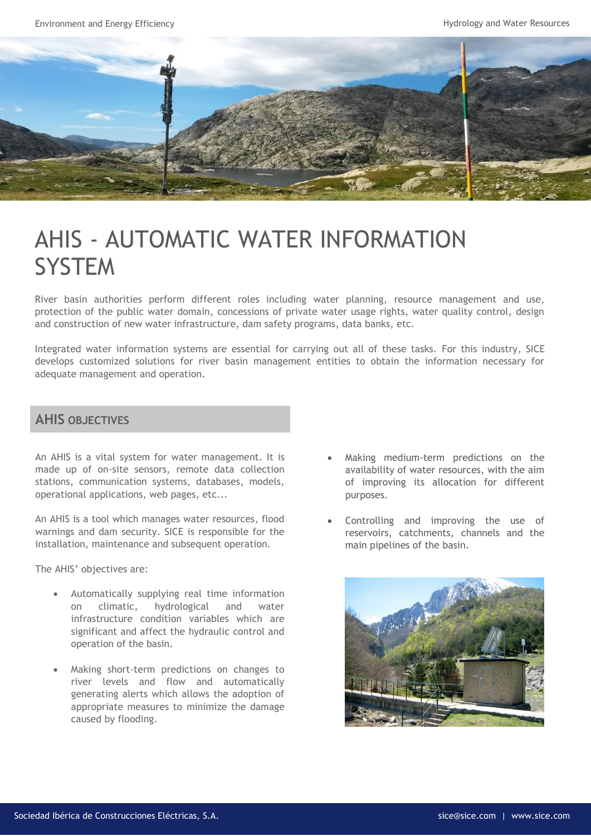Environment and Energy Efficiency **Hydrology and Water Resources** Hydrology and Water Resources



## AHIS - AUTOMATIC WATER INFORMATION **SYSTEM**

River basin authorities perform different roles including water planning, resource management and use, protection of the public water domain, concessions of private water usage rights, water quality control, design and construction of new water infrastructure, dam safety programs, data banks, etc.

Integrated water information systems are essential for carrying out all of these tasks. For this industry, SICE develops customized solutions for river basin management entities to obtain the information necessary for adequate management and operation.

## **AHIS OBJECTIVES**

An AHIS is a vital system for water management. It is made up of on-site sensors, remote data collection stations, communication systems, databases, models, operational applications, web pages, etc...

An AHIS is a tool which manages water resources, flood warnings and dam security. SICE is responsible for the installation, maintenance and subsequent operation.

The AHIS' objectives are:

- Automatically supplying real time information on climatic, hydrological and water infrastructure condition variables which are significant and affect the hydraulic control and operation of the basin.
- Making short-term predictions on changes to river levels and flow and automatically generating alerts which allows the adoption of appropriate measures to minimize the damage caused by flooding.
- Making medium-term predictions on the availability of water resources, with the aim of improving its allocation for different purposes.
- Controlling and improving the use of reservoirs, catchments, channels and the main pipelines of the basin.